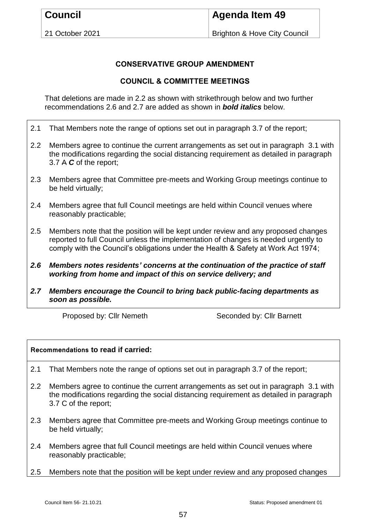21 October 2021

Brighton & Hove City Council

## **CONSERVATIVE GROUP AMENDMENT**

## **COUNCIL & COMMITTEE MEETINGS**

That deletions are made in 2.2 as shown with strikethrough below and two further recommendations 2.6 and 2.7 are added as shown in *bold italics* below.

- 2.1 That Members note the range of options set out in paragraph 3.7 of the report;
- 2.2 Members agree to continue the current arrangements as set out in paragraph 3.1 with the modifications regarding the social distancing requirement as detailed in paragraph 3.7 A *C* of the report;
- 2.3 Members agree that Committee pre-meets and Working Group meetings continue to be held virtually;
- 2.4 Members agree that full Council meetings are held within Council venues where reasonably practicable;
- 2.5 Members note that the position will be kept under review and any proposed changes reported to full Council unless the implementation of changes is needed urgently to comply with the Council's obligations under the Health & Safety at Work Act 1974;
- *2.6 Members notes residents' concerns at the continuation of the practice of staff working from home and impact of this on service delivery; and*
- *2.7 Members encourage the Council to bring back public-facing departments as soon as possible.*

Proposed by: Cllr Nemeth Seconded by: Cllr Barnett

## **Recommendations to read if carried:**

- 2.1 That Members note the range of options set out in paragraph 3.7 of the report;
- 2.2 Members agree to continue the current arrangements as set out in paragraph 3.1 with the modifications regarding the social distancing requirement as detailed in paragraph 3.7 C of the report;
- 2.3 Members agree that Committee pre-meets and Working Group meetings continue to be held virtually;
- 2.4 Members agree that full Council meetings are held within Council venues where reasonably practicable;
- 2.5 Members note that the position will be kept under review and any proposed changes